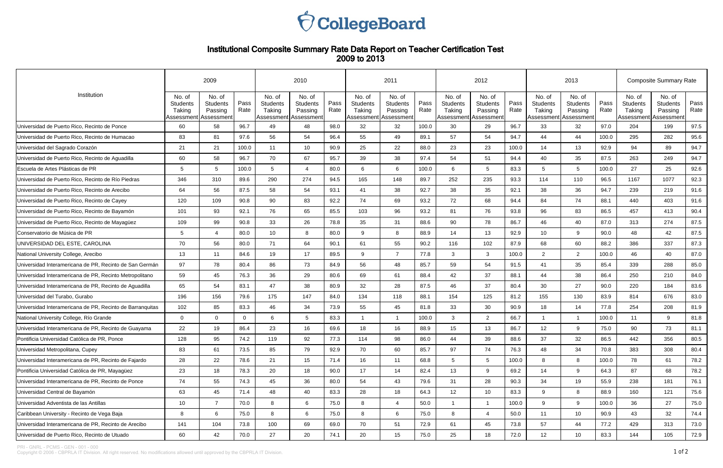

## Institutional Composite Summary Rate Data Report on Teacher Certification Test 2009 to 2013

|                                                           | 2009                                |                                                               |              | 2010                                                          |                                      |              | 2011                                                  |                               |              |                                     | 2012                                                          |              | 2013                                              |                                             |              | <b>Composite Summary Rate</b>                               |                                      |              |  |
|-----------------------------------------------------------|-------------------------------------|---------------------------------------------------------------|--------------|---------------------------------------------------------------|--------------------------------------|--------------|-------------------------------------------------------|-------------------------------|--------------|-------------------------------------|---------------------------------------------------------------|--------------|---------------------------------------------------|---------------------------------------------|--------------|-------------------------------------------------------------|--------------------------------------|--------------|--|
| Institution                                               | No. of<br><b>Students</b><br>Taking | No. of<br><b>Students</b><br>Passing<br>Assessment Assessment | Pass<br>Rate | No. of<br><b>Students</b><br>Taking<br>Assessment   Assessmen | No. of<br><b>Students</b><br>Passing | Pass<br>Rate | No. of<br>Students<br>Taking<br>Assessment Assessment | No. of<br>Students<br>Passing | Pass<br>Rate | No. of<br><b>Students</b><br>Taking | No. of<br><b>Students</b><br>Passing<br>Assessment Assessment | Pass<br>Rate | No. of<br><b>Students</b><br>Taking<br>Assessment | No. of<br>Students<br>Passing<br>Assessment | Pass<br>Rate | No. of<br><b>Students</b><br>Taking<br>Assessment Assessmen | No. of<br><b>Students</b><br>Passing | Pass<br>Rate |  |
| Universidad de Puerto Rico, Recinto de Ponce              | 60                                  | 58                                                            | 96.7         | 49                                                            | 48                                   | 98.0         | 32                                                    | 32                            | 100.0        | 30                                  | 29                                                            | 96.7         | 33                                                | 32 <sup>°</sup>                             | 97.0         | 204                                                         | 199                                  | 97.5         |  |
| Universidad de Puerto Rico, Recinto de Humacao            | 83                                  | 81                                                            | 97.6         | 56                                                            | 54                                   | 96.4         | 55                                                    | 49                            | 89.1         | 57                                  | 54                                                            | 94.7         | 44                                                | 44                                          | 100.0        | 295                                                         | 282                                  | 95.6         |  |
| Universidad del Sagrado Corazón                           | 21                                  | 21                                                            | 100.0        | 11                                                            | 10                                   | 90.9         | 25                                                    | 22                            | 88.0         | 23                                  | 23                                                            | 100.0        | 14                                                | 13                                          | 92.9         | 94                                                          | 89                                   | 94.7         |  |
| Universidad de Puerto Rico, Recinto de Aguadilla          | 60                                  | 58                                                            | 96.7         | 70                                                            | 67                                   | 95.7         | 39                                                    | 38                            | 97.4         | 54                                  | 51                                                            | 94.4         | 40                                                | 35                                          | 87.5         | 263                                                         | 249                                  | 94.7         |  |
| Escuela de Artes Plásticas de PR                          | 5                                   | 5                                                             | 100.0        | 5                                                             | $\overline{A}$                       | 80.0         | 6                                                     | 6                             | 100.0        | 6                                   | 5                                                             | 83.3         | -5                                                | 5                                           | 100.0        | 27                                                          | 25                                   | 92.6         |  |
| Universidad de Puerto Rico, Recinto de Río Piedras        | 346                                 | 310                                                           | 89.6         | 290                                                           | 274                                  | 94.5         | 165                                                   | 148                           | 89.7         | 252                                 | 235                                                           | 93.3         | 114                                               | 110                                         | 96.5         | 1167                                                        | 1077                                 | 92.3         |  |
| Universidad de Puerto Rico, Recinto de Arecibo            | 64                                  | 56                                                            | 87.5         | 58                                                            | 54                                   | 93.1         | 41                                                    | 38                            | 92.7         | 38                                  | 35                                                            | 92.1         | 38                                                | 36                                          | 94.7         | 239                                                         | 219                                  | 91.6         |  |
| Universidad de Puerto Rico, Recinto de Cayey              | 120                                 | 109                                                           | 90.8         | 90                                                            | 83                                   | 92.2         | 74                                                    | 69                            | 93.2         | 72                                  | 68                                                            | 94.4         | 84                                                | 74                                          | 88.1         | 440                                                         | 403                                  | 91.6         |  |
| Universidad de Puerto Rico, Recinto de Bayamón            | 101                                 | 93                                                            | 92.1         | 76                                                            | 65                                   | 85.5         | 103                                                   | 96                            | 93.2         | 81                                  | 76                                                            | 93.8         | 96                                                | 83                                          | 86.5         | 457                                                         | 413                                  | 90.4         |  |
| Universidad de Puerto Rico, Recinto de Mayagüez           | 109                                 | 99                                                            | 90.8         | 33                                                            | 26                                   | 78.8         | 35                                                    | 31                            | 88.6         | 90                                  | 78                                                            | 86.7         | 46                                                | 40                                          | 87.0         | 313                                                         | 274                                  | 87.5         |  |
| Conservatorio de Música de PR                             | 5                                   | 4                                                             | 80.0         | 10 <sup>°</sup>                                               | 8                                    | 80.0         | 9                                                     | 8                             | 88.9         | 14                                  | 13                                                            | 92.9         | 10 <sup>°</sup>                                   | 9                                           | 90.0         | 48                                                          | 42                                   | 87.5         |  |
| UNIVERSIDAD DEL ESTE, CAROLINA                            | 70                                  | 56                                                            | 80.0         | 71                                                            | 64                                   | 90.1         | 61                                                    | 55                            | 90.2         | 116                                 | 102                                                           | 87.9         | 68                                                | 60                                          | 88.2         | 386                                                         | 337                                  | 87.3         |  |
| National University College, Arecibo                      | 13                                  | 11                                                            | 84.6         | 19                                                            | 17                                   | 89.5         | 9                                                     | $\overline{7}$                | 77.8         | 3                                   | 3                                                             | 100.0        | 2                                                 | $\overline{2}$                              | 100.0        | 46                                                          | 40                                   | 87.0         |  |
| Universidad Interamericana de PR, Recinto de San Germán   | 97                                  | 78                                                            | 80.4         | 86                                                            | 73                                   | 84.9         | 56                                                    | 48                            | 85.7         | 59                                  | 54                                                            | 91.5         | 41                                                | 35                                          | 85.4         | 339                                                         | 288                                  | 85.0         |  |
| Universidad Interamericana de PR, Recinto Metropolitano   | 59                                  | 45                                                            | 76.3         | 36                                                            | 29                                   | 80.6         | 69                                                    | 61                            | 88.4         | 42                                  | 37                                                            | 88.1         | 44                                                | 38                                          | 86.4         | 250                                                         | 210                                  | 84.0         |  |
| Universidad Interamericana de PR, Recinto de Aguadilla    | 65                                  | 54                                                            | 83.1         | 47                                                            | 38                                   | 80.9         | 32                                                    | 28                            | 87.5         | 46                                  | 37                                                            | 80.4         | 30                                                | 27                                          | 90.0         | 220                                                         | 184                                  | 83.6         |  |
| Universidad del Turabo, Gurabo                            | 196                                 | 156                                                           | 79.6         | 175                                                           | 147                                  | 84.0         | 134                                                   | 118                           | 88.1         | 154                                 | 125                                                           | 81.2         | 155                                               | 130                                         | 83.9         | 814                                                         | 676                                  | 83.0         |  |
| Universidad Interamericana de PR, Recinto de Barranquitas | 102                                 | 85                                                            | 83.3         | 46                                                            | 34                                   | 73.9         | 55                                                    | 45                            | 81.8         | 33                                  | 30                                                            | 90.9         | 18                                                | 14                                          | 77.8         | 254                                                         | 208                                  | 81.9         |  |
| National University College, Río Grande                   | $\Omega$                            | $\Omega$                                                      | $\Omega$     | 6                                                             | 5                                    | 83.3         |                                                       | $\overline{1}$                | 100.0        | 3                                   | 2                                                             | 66.7         | $\overline{1}$                                    |                                             | 100.0        | 11                                                          | 9                                    | 81.8         |  |
| Universidad Interamericana de PR, Recinto de Guayama      | 22                                  | 19                                                            | 86.4         | 23                                                            | 16                                   | 69.6         | 18                                                    | 16                            | 88.9         | 15 <sub>15</sub>                    | 13                                                            | 86.7         | 12 <sup>2</sup>                                   | 9                                           | 75.0         | 90                                                          | 73                                   | 81.1         |  |
| Pontificia Universidad Católica de PR, Ponce              | 128                                 | 95                                                            | 74.2         | 119                                                           | 92                                   | 77.3         | 114                                                   | 98                            | 86.0         | 44                                  | 39                                                            | 88.6         | 37                                                | 32                                          | 86.5         | 442                                                         | 356                                  | 80.5         |  |
| Universidad Metropolitana, Cupey                          | 83                                  | 61                                                            | 73.5         | 85                                                            | 79                                   | 92.9         | 70                                                    | 60                            | 85.7         | 97                                  | 74                                                            | 76.3         | 48                                                | 34                                          | 70.8         | 383                                                         | 308                                  | 80.4         |  |
| Universidad Interamericana de PR, Recinto de Fajardo      | 28                                  | 22                                                            | 78.6         | 21                                                            | 15                                   | 71.4         | 16                                                    | 11                            | 68.8         | $5\phantom{.0}$                     | 5 <sup>5</sup>                                                | 100.0        | 8                                                 | 8                                           | 100.0        | 78                                                          | 61                                   | 78.2         |  |
| Pontificia Universidad Católica de PR, Mayagüez           | 23                                  | 18                                                            | 78.3         | 20                                                            | 18                                   | 90.0         | 17                                                    | 14                            | 82.4         | 13                                  | 9                                                             | 69.2         | 14                                                | 9                                           | 64.3         | 87                                                          | 68                                   | 78.2         |  |
| Universidad Interamericana de PR, Recinto de Ponce        | 74                                  | 55                                                            | 74.3         | 45                                                            | 36                                   | 80.0         | 54                                                    | 43                            | 79.6         | 31                                  | 28                                                            | 90.3         | 34                                                | 19                                          | 55.9         | 238                                                         | 181                                  | 76.1         |  |
| Universidad Central de Bayamón                            | 63                                  | 45                                                            | 71.4         | 48                                                            | 40                                   | 83.3         | 28                                                    | 18                            | 64.3         | 12                                  | 10                                                            | 83.3         | 9                                                 | 8                                           | 88.9         | 160                                                         | 121                                  | 75.6         |  |
| Universidad Adventista de las Antillas                    | 10 <sup>°</sup>                     | $\overline{7}$                                                | 70.0         | 8                                                             | 6                                    | 75.0         | 8                                                     | $\overline{4}$                | 50.0         | $\overline{1}$                      | $\mathbf{1}$                                                  | 100.0        | 9                                                 | 9                                           | 100.0        | 36                                                          | 27                                   | 75.0         |  |
| Caribbean University - Recinto de Vega Baja               | 8                                   | 6                                                             | 75.0         | 8                                                             | 6                                    | 75.0         | 8                                                     | 6                             | 75.0         | 8                                   | $\overline{4}$                                                | 50.0         | 11                                                | 10 <sup>1</sup>                             | 90.9         | 43                                                          | 32                                   | 74.4         |  |
| Universidad Interamericana de PR, Recinto de Arecibo      | 141                                 | 104                                                           | 73.8         | 100                                                           | 69                                   | 69.0         | 70                                                    | 51                            | 72.9         | 61                                  | 45                                                            | 73.8         | 57                                                | 44                                          | 77.2         | 429                                                         | 313                                  | 73.0         |  |
| Universidad de Puerto Rico, Recinto de Utuado             | 60                                  | 42                                                            | 70.0         | 27                                                            | 20                                   | 74.1         | 20                                                    | 15                            | 75.0         | 25                                  | 18                                                            | 72.0         | 12                                                | 10 <sup>1</sup>                             | 83.3         | 144                                                         | 105                                  | 72.9         |  |

PRI - GNRL - PCMS - GEN - 001 - 000

Copyright © 2006 - CBPRLA IT Division. All right reserved. No modifications allowed until approved by the CBPRLA IT Division.